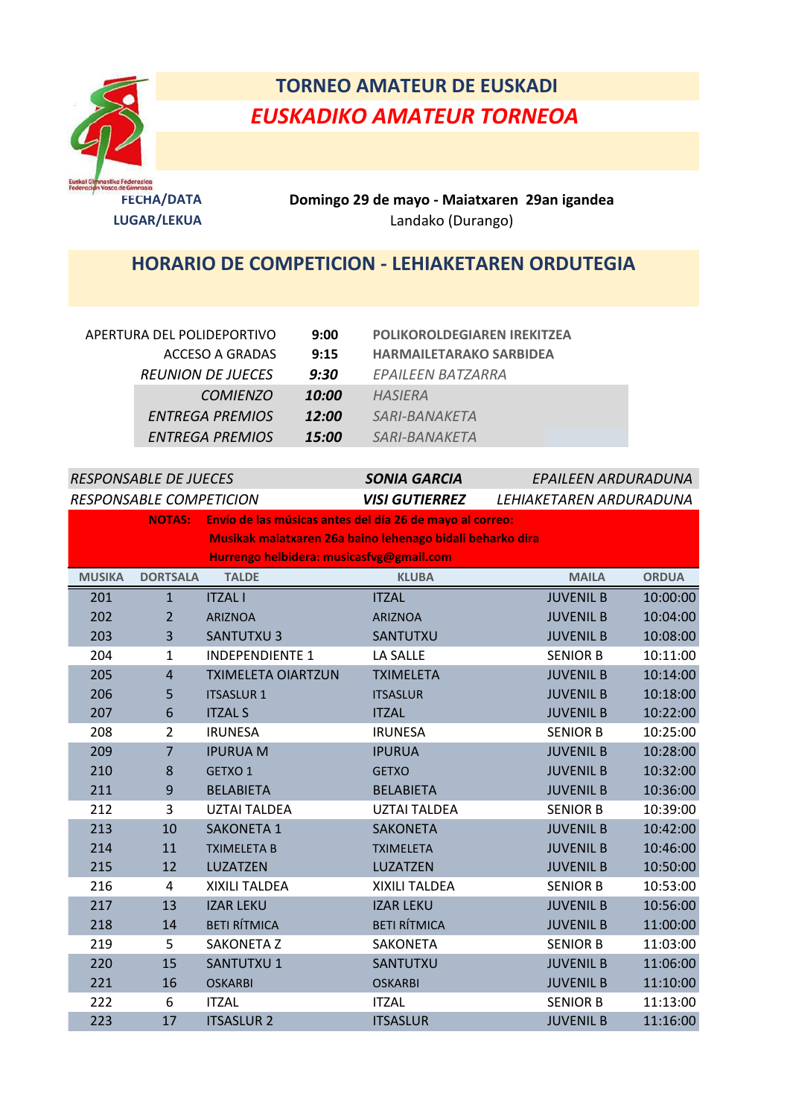

## **TORNEO AMATEUR DE EUSKADI** *EUSKADIKO AMATEUR TORNEOA*

**FECHA/DATA Domingo 29 de mayo - Maiatxaren 29an igandea LUGAR/LEKUA** Landako (Durango)

## **HORARIO DE COMPETICION - LEHIAKETAREN ORDUTEGIA**

| APERTURA DEL POLIDEPORTIVO | 9:00  | <b>POLIKOROLDEGIAREN IREKITZEA</b> |
|----------------------------|-------|------------------------------------|
| ACCESO A GRADAS            | 9:15  | <b>HARMAILETARAKO SARBIDEA</b>     |
| <b>REUNION DE JUECES</b>   | 9:30  | EPAILEEN BATZARRA                  |
| <b>COMIENZO</b>            | 10:00 | HASIERA                            |
| ENTREGA PREMIOS            | 12:00 | <i>SARI-BANAKETA</i>               |
| ENTREGA PREMIOS            | 15:00 | <i>SARI-BANAKETA</i>               |

| <b>RESPONSABLE DE JUECES</b> |                 | <b>SONIA GARCIA</b>                                       | EPAILEEN ARDURADUNA   |                         |              |  |
|------------------------------|-----------------|-----------------------------------------------------------|-----------------------|-------------------------|--------------|--|
| RESPONSABLE COMPETICION      |                 |                                                           | <b>VISI GUTIERREZ</b> | LEHIAKETAREN ARDURADUNA |              |  |
|                              | <b>NOTAS:</b>   | Envío de las músicas antes del día 26 de mayo al correo:  |                       |                         |              |  |
|                              |                 | Musikak maiatxaren 26a baino lehenago bidali beharko dira |                       |                         |              |  |
|                              |                 | Hurrengo helbidera: musicasfvg@gmail.com                  |                       |                         |              |  |
| <b>MUSIKA</b>                | <b>DORTSALA</b> | <b>TALDE</b>                                              | <b>KLUBA</b>          | <b>MAILA</b>            | <b>ORDUA</b> |  |
| 201                          | $\mathbf{1}$    | <b>ITZAL I</b>                                            | <b>ITZAL</b>          | <b>JUVENIL B</b>        | 10:00:00     |  |
| 202                          | $\overline{2}$  | <b>ARIZNOA</b>                                            | <b>ARIZNOA</b>        | <b>JUVENIL B</b>        | 10:04:00     |  |
| 203                          | 3               | <b>SANTUTXU3</b>                                          | SANTUTXU              | <b>JUVENIL B</b>        | 10:08:00     |  |
| 204                          | $\mathbf{1}$    | <b>INDEPENDIENTE 1</b>                                    | LA SALLE              | <b>SENIOR B</b>         | 10:11:00     |  |
| 205                          | $\overline{4}$  | <b>TXIMELETA OIARTZUN</b>                                 | <b>TXIMELETA</b>      | <b>JUVENIL B</b>        | 10:14:00     |  |
| 206                          | 5               | <b>ITSASLUR 1</b>                                         | <b>ITSASLUR</b>       | <b>JUVENIL B</b>        | 10:18:00     |  |
| 207                          | 6               | <b>ITZAL S</b>                                            | <b>ITZAL</b>          | <b>JUVENIL B</b>        | 10:22:00     |  |
| 208                          | $\overline{2}$  | <b>IRUNESA</b>                                            | <b>IRUNESA</b>        | <b>SENIOR B</b>         | 10:25:00     |  |
| 209                          | $\overline{7}$  | <b>IPURUA M</b>                                           | <b>IPURUA</b>         | <b>JUVENIL B</b>        | 10:28:00     |  |
| 210                          | 8               | GETXO 1                                                   | <b>GETXO</b>          | <b>JUVENIL B</b>        | 10:32:00     |  |
| 211                          | 9               | <b>BELABIETA</b>                                          | <b>BELABIETA</b>      | <b>JUVENIL B</b>        | 10:36:00     |  |
| 212                          | 3               | <b>UZTAI TALDEA</b>                                       | <b>UZTAI TALDEA</b>   | <b>SENIOR B</b>         | 10:39:00     |  |
| 213                          | 10              | <b>SAKONETA 1</b>                                         | <b>SAKONETA</b>       | <b>JUVENIL B</b>        | 10:42:00     |  |
| 214                          | 11              | <b>TXIMELETA B</b>                                        | <b>TXIMELETA</b>      | <b>JUVENIL B</b>        | 10:46:00     |  |
| 215                          | 12              | LUZATZEN                                                  | LUZATZEN              | <b>JUVENIL B</b>        | 10:50:00     |  |
| 216                          | 4               | XIXILI TALDEA                                             | XIXILI TALDEA         | <b>SENIOR B</b>         | 10:53:00     |  |
| 217                          | 13              | <b>IZAR LEKU</b>                                          | <b>IZAR LEKU</b>      | <b>JUVENIL B</b>        | 10:56:00     |  |
| 218                          | 14              | <b>BETI RÍTMICA</b>                                       | <b>BETI RÍTMICA</b>   | <b>JUVENIL B</b>        | 11:00:00     |  |
| 219                          | 5               | <b>SAKONETA Z</b>                                         | SAKONETA              | <b>SENIOR B</b>         | 11:03:00     |  |
| 220                          | 15              | <b>SANTUTXU 1</b>                                         | SANTUTXU              | <b>JUVENIL B</b>        | 11:06:00     |  |
| 221                          | 16              | <b>OSKARBI</b>                                            | <b>OSKARBI</b>        | <b>JUVENIL B</b>        | 11:10:00     |  |
| 222                          | 6               | <b>ITZAL</b>                                              | <b>ITZAL</b>          | <b>SENIOR B</b>         | 11:13:00     |  |
| 223                          | 17              | <b>ITSASLUR 2</b>                                         | <b>ITSASLUR</b>       | <b>JUVENIL B</b>        | 11:16:00     |  |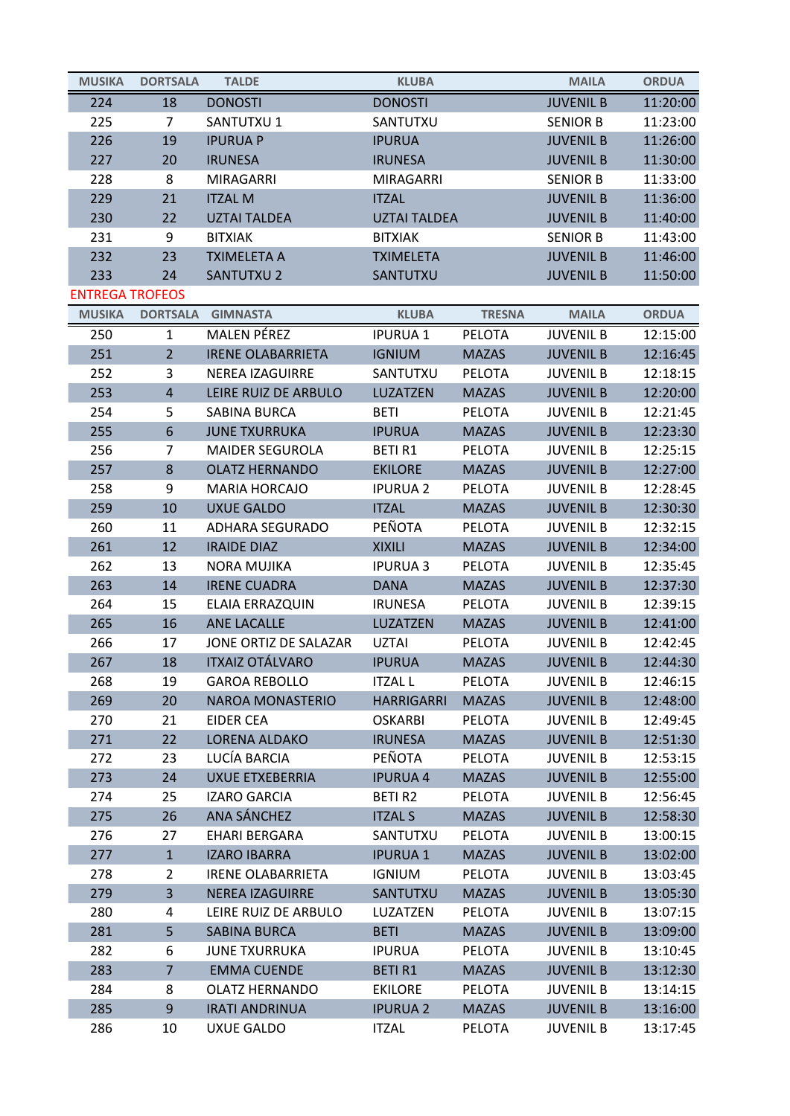| <b>MUSIKA</b>          | <b>DORTSALA</b>  | <b>TALDE</b>             | <b>KLUBA</b>        |               | <b>MAILA</b>     | <b>ORDUA</b> |
|------------------------|------------------|--------------------------|---------------------|---------------|------------------|--------------|
| 224                    | 18               | <b>DONOSTI</b>           | <b>DONOSTI</b>      |               | <b>JUVENIL B</b> | 11:20:00     |
| 225                    | 7                | SANTUTXU 1               | SANTUTXU            |               | <b>SENIOR B</b>  | 11:23:00     |
| 226                    | 19               | <b>IPURUA P</b>          | <b>IPURUA</b>       |               | <b>JUVENIL B</b> | 11:26:00     |
| 227                    | 20               | <b>IRUNESA</b>           | <b>IRUNESA</b>      |               | <b>JUVENIL B</b> | 11:30:00     |
| 228                    | 8                | MIRAGARRI                | <b>MIRAGARRI</b>    |               | <b>SENIOR B</b>  | 11:33:00     |
| 229                    | 21               | <b>ITZAL M</b>           | <b>ITZAL</b>        |               | <b>JUVENIL B</b> | 11:36:00     |
| 230                    | 22               | <b>UZTAI TALDEA</b>      | <b>UZTAI TALDEA</b> |               | <b>JUVENIL B</b> | 11:40:00     |
| 231                    | 9                | <b>BITXIAK</b>           | <b>BITXIAK</b>      |               | <b>SENIOR B</b>  | 11:43:00     |
| 232                    | 23               | <b>TXIMELETA A</b>       | <b>TXIMELETA</b>    |               | <b>JUVENIL B</b> | 11:46:00     |
| 233                    | 24               | <b>SANTUTXU 2</b>        | SANTUTXU            |               | <b>JUVENIL B</b> | 11:50:00     |
| <b>ENTREGA TROFEOS</b> |                  |                          |                     |               |                  |              |
| <b>MUSIKA</b>          | <b>DORTSALA</b>  | <b>GIMNASTA</b>          | <b>KLUBA</b>        | <b>TRESNA</b> | <b>MAILA</b>     | <b>ORDUA</b> |
| 250                    | 1                | <b>MALEN PÉREZ</b>       | <b>IPURUA1</b>      | <b>PELOTA</b> | <b>JUVENIL B</b> | 12:15:00     |
| 251                    | $\overline{2}$   | <b>IRENE OLABARRIETA</b> | <b>IGNIUM</b>       | <b>MAZAS</b>  | <b>JUVENIL B</b> | 12:16:45     |
| 252                    | 3                | <b>NEREA IZAGUIRRE</b>   | SANTUTXU            | PELOTA        | <b>JUVENIL B</b> | 12:18:15     |
| 253                    | $\overline{4}$   | LEIRE RUIZ DE ARBULO     | LUZATZEN            | <b>MAZAS</b>  | <b>JUVENIL B</b> | 12:20:00     |
| 254                    | 5                | SABINA BURCA             | <b>BETI</b>         | <b>PELOTA</b> | <b>JUVENIL B</b> | 12:21:45     |
| 255                    | 6                | <b>JUNE TXURRUKA</b>     | <b>IPURUA</b>       | <b>MAZAS</b>  | <b>JUVENIL B</b> | 12:23:30     |
| 256                    | 7                | <b>MAIDER SEGUROLA</b>   | <b>BETIR1</b>       | PELOTA        | <b>JUVENIL B</b> | 12:25:15     |
| 257                    | $\bf 8$          | <b>OLATZ HERNANDO</b>    | <b>EKILORE</b>      | <b>MAZAS</b>  | <b>JUVENIL B</b> | 12:27:00     |
| 258                    | 9                | <b>MARIA HORCAJO</b>     | <b>IPURUA 2</b>     | <b>PELOTA</b> | <b>JUVENIL B</b> | 12:28:45     |
| 259                    | 10               | <b>UXUE GALDO</b>        | <b>ITZAL</b>        | <b>MAZAS</b>  | <b>JUVENIL B</b> | 12:30:30     |
| 260                    | 11               | <b>ADHARA SEGURADO</b>   | PEÑOTA              | <b>PELOTA</b> | <b>JUVENIL B</b> | 12:32:15     |
| 261                    | 12               | <b>IRAIDE DIAZ</b>       | <b>XIXILI</b>       | <b>MAZAS</b>  | <b>JUVENIL B</b> | 12:34:00     |
| 262                    | 13               | <b>NORA MUJIKA</b>       | <b>IPURUA 3</b>     | <b>PELOTA</b> | <b>JUVENIL B</b> | 12:35:45     |
| 263                    | 14               | <b>IRENE CUADRA</b>      | <b>DANA</b>         | <b>MAZAS</b>  | <b>JUVENIL B</b> | 12:37:30     |
| 264                    | 15               | ELAIA ERRAZQUIN          | <b>IRUNESA</b>      | <b>PELOTA</b> | <b>JUVENIL B</b> | 12:39:15     |
| 265                    | 16               | <b>ANE LACALLE</b>       | LUZATZEN            | <b>MAZAS</b>  | <b>JUVENIL B</b> | 12:41:00     |
| 266                    | 17               | JONE ORTIZ DE SALAZAR    | <b>UZTAI</b>        | <b>PELOTA</b> | <b>JUVENIL B</b> | 12:42:45     |
| 267                    | 18               | <b>ITXAIZ OTÁLVARO</b>   | <b>IPURUA</b>       | <b>MAZAS</b>  | <b>JUVENIL B</b> | 12:44:30     |
| 268                    | 19               | <b>GAROA REBOLLO</b>     | <b>ITZAL L</b>      | PELOTA        | <b>JUVENIL B</b> | 12:46:15     |
| 269                    | 20               | <b>NAROA MONASTERIO</b>  | <b>HARRIGARRI</b>   | <b>MAZAS</b>  | <b>JUVENIL B</b> | 12:48:00     |
| 270                    | 21               | <b>EIDER CEA</b>         | <b>OSKARBI</b>      | <b>PELOTA</b> | <b>JUVENIL B</b> | 12:49:45     |
| 271                    | 22               | <b>LORENA ALDAKO</b>     | <b>IRUNESA</b>      | <b>MAZAS</b>  | <b>JUVENIL B</b> | 12:51:30     |
| 272                    | 23               | LUCÍA BARCIA             | PEÑOTA              | <b>PELOTA</b> | <b>JUVENIL B</b> | 12:53:15     |
| 273                    | 24               | <b>UXUE ETXEBERRIA</b>   | <b>IPURUA 4</b>     | <b>MAZAS</b>  | <b>JUVENIL B</b> | 12:55:00     |
| 274                    | 25               | <b>IZARO GARCIA</b>      | <b>BETIR2</b>       | <b>PELOTA</b> | <b>JUVENIL B</b> | 12:56:45     |
| 275                    | 26               | ANA SÁNCHEZ              | <b>ITZAL S</b>      | <b>MAZAS</b>  | <b>JUVENIL B</b> | 12:58:30     |
| 276                    | 27               | <b>EHARI BERGARA</b>     | SANTUTXU            | PELOTA        | <b>JUVENIL B</b> | 13:00:15     |
| 277                    | $\mathbf{1}$     | <b>IZARO IBARRA</b>      | <b>IPURUA1</b>      | <b>MAZAS</b>  | <b>JUVENIL B</b> | 13:02:00     |
| 278                    | $\overline{2}$   | <b>IRENE OLABARRIETA</b> | <b>IGNIUM</b>       | PELOTA        | <b>JUVENIL B</b> | 13:03:45     |
| 279                    | 3                | NEREA IZAGUIRRE          | SANTUTXU            | <b>MAZAS</b>  | <b>JUVENIL B</b> | 13:05:30     |
| 280                    | 4                | LEIRE RUIZ DE ARBULO     | LUZATZEN            | <b>PELOTA</b> | <b>JUVENIL B</b> | 13:07:15     |
| 281                    | 5                | <b>SABINA BURCA</b>      | <b>BETI</b>         | <b>MAZAS</b>  | <b>JUVENIL B</b> | 13:09:00     |
| 282                    | 6                | <b>JUNE TXURRUKA</b>     | <b>IPURUA</b>       | <b>PELOTA</b> | <b>JUVENIL B</b> | 13:10:45     |
| 283                    | $\overline{7}$   | <b>EMMA CUENDE</b>       | <b>BETIR1</b>       | <b>MAZAS</b>  | <b>JUVENIL B</b> | 13:12:30     |
| 284                    | 8                | <b>OLATZ HERNANDO</b>    | <b>EKILORE</b>      | <b>PELOTA</b> | <b>JUVENIL B</b> | 13:14:15     |
| 285                    | $\boldsymbol{9}$ | <b>IRATI ANDRINUA</b>    | <b>IPURUA 2</b>     | <b>MAZAS</b>  | <b>JUVENIL B</b> | 13:16:00     |
| 286                    | 10               | <b>UXUE GALDO</b>        | <b>ITZAL</b>        | PELOTA        | <b>JUVENIL B</b> | 13:17:45     |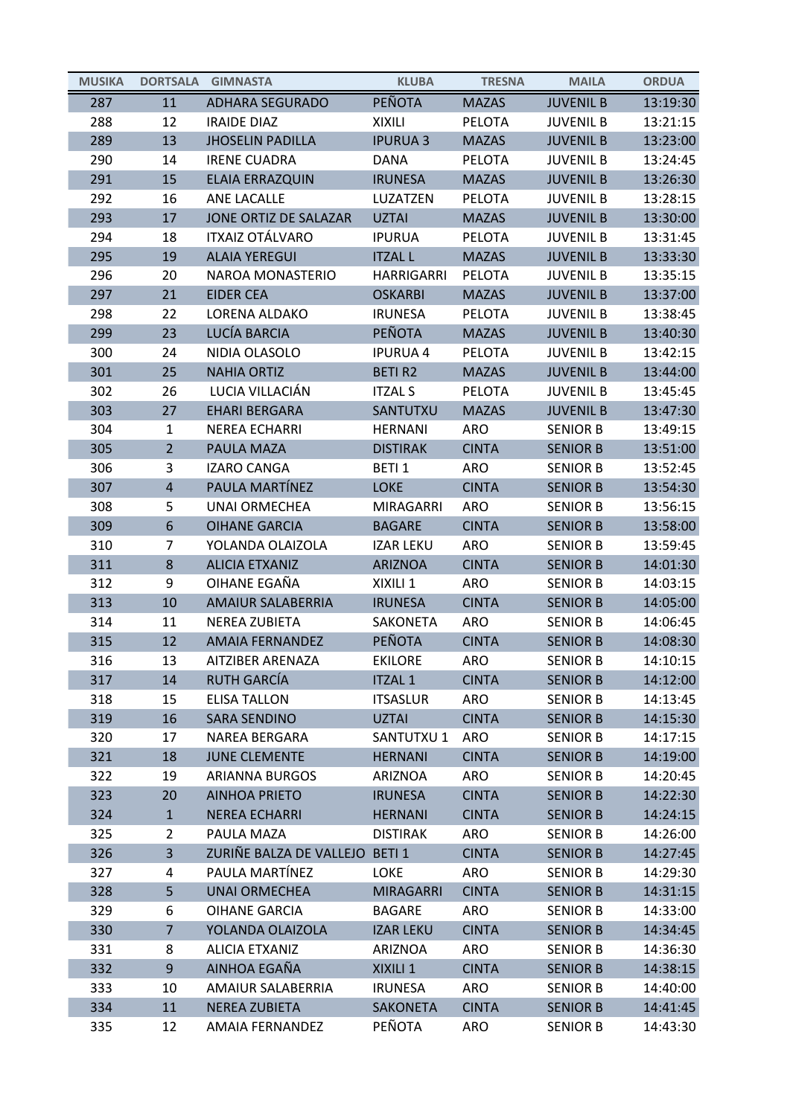| <b>MUSIKA</b> | <b>DORTSALA</b> | <b>GIMNASTA</b>                | <b>KLUBA</b>      | <b>TRESNA</b> | <b>MAILA</b>     | <b>ORDUA</b> |
|---------------|-----------------|--------------------------------|-------------------|---------------|------------------|--------------|
| 287           | 11              | <b>ADHARA SEGURADO</b>         | PEÑOTA            | <b>MAZAS</b>  | <b>JUVENIL B</b> | 13:19:30     |
| 288           | 12              | <b>IRAIDE DIAZ</b>             | <b>XIXILI</b>     | <b>PELOTA</b> | <b>JUVENIL B</b> | 13:21:15     |
| 289           | 13              | <b>JHOSELIN PADILLA</b>        | <b>IPURUA 3</b>   | <b>MAZAS</b>  | <b>JUVENIL B</b> | 13:23:00     |
| 290           | 14              | <b>IRENE CUADRA</b>            | <b>DANA</b>       | <b>PELOTA</b> | <b>JUVENIL B</b> | 13:24:45     |
| 291           | 15              | ELAIA ERRAZQUIN                | <b>IRUNESA</b>    | <b>MAZAS</b>  | <b>JUVENIL B</b> | 13:26:30     |
| 292           | 16              | ANE LACALLE                    | LUZATZEN          | <b>PELOTA</b> | <b>JUVENIL B</b> | 13:28:15     |
| 293           | 17              | JONE ORTIZ DE SALAZAR          | <b>UZTAI</b>      | <b>MAZAS</b>  | <b>JUVENIL B</b> | 13:30:00     |
| 294           | 18              | <b>ITXAIZ OTÁLVARO</b>         | <b>IPURUA</b>     | <b>PELOTA</b> | <b>JUVENIL B</b> | 13:31:45     |
| 295           | 19              | <b>ALAIA YEREGUI</b>           | <b>ITZAL L</b>    | <b>MAZAS</b>  | <b>JUVENIL B</b> | 13:33:30     |
| 296           | 20              | NAROA MONASTERIO               | HARRIGARRI        | PELOTA        | <b>JUVENIL B</b> | 13:35:15     |
| 297           | 21              | <b>EIDER CEA</b>               | <b>OSKARBI</b>    | <b>MAZAS</b>  | <b>JUVENIL B</b> | 13:37:00     |
| 298           | 22              | LORENA ALDAKO                  | <b>IRUNESA</b>    | PELOTA        | <b>JUVENIL B</b> | 13:38:45     |
| 299           | 23              | LUCÍA BARCIA                   | <b>PEÑOTA</b>     | <b>MAZAS</b>  | <b>JUVENIL B</b> | 13:40:30     |
| 300           | 24              | NIDIA OLASOLO                  | <b>IPURUA 4</b>   | <b>PELOTA</b> | <b>JUVENIL B</b> | 13:42:15     |
| 301           | 25              | <b>NAHIA ORTIZ</b>             | <b>BETIR2</b>     | <b>MAZAS</b>  | <b>JUVENIL B</b> | 13:44:00     |
| 302           | 26              | LUCIA VILLACIÁN                | <b>ITZAL S</b>    | <b>PELOTA</b> | <b>JUVENIL B</b> | 13:45:45     |
| 303           | 27              | <b>EHARI BERGARA</b>           | SANTUTXU          | <b>MAZAS</b>  | <b>JUVENIL B</b> | 13:47:30     |
| 304           | 1               | <b>NEREA ECHARRI</b>           | <b>HERNANI</b>    | <b>ARO</b>    | <b>SENIOR B</b>  | 13:49:15     |
| 305           | $\overline{2}$  | PAULA MAZA                     | <b>DISTIRAK</b>   | <b>CINTA</b>  | <b>SENIOR B</b>  | 13:51:00     |
| 306           | 3               | <b>IZARO CANGA</b>             | BETI <sub>1</sub> | <b>ARO</b>    | <b>SENIOR B</b>  | 13:52:45     |
| 307           | $\overline{4}$  | PAULA MARTÍNEZ                 | <b>LOKE</b>       | <b>CINTA</b>  | <b>SENIOR B</b>  | 13:54:30     |
| 308           | 5               | <b>UNAI ORMECHEA</b>           | <b>MIRAGARRI</b>  | <b>ARO</b>    | <b>SENIOR B</b>  | 13:56:15     |
| 309           | 6               | <b>OIHANE GARCIA</b>           | <b>BAGARE</b>     | <b>CINTA</b>  | <b>SENIOR B</b>  | 13:58:00     |
| 310           | 7               | YOLANDA OLAIZOLA               | <b>IZAR LEKU</b>  | <b>ARO</b>    | <b>SENIOR B</b>  | 13:59:45     |
| 311           | $\bf 8$         | <b>ALICIA ETXANIZ</b>          | <b>ARIZNOA</b>    | <b>CINTA</b>  | <b>SENIOR B</b>  | 14:01:30     |
| 312           | 9               | OIHANE EGAÑA                   | XIXILI 1          | <b>ARO</b>    | <b>SENIOR B</b>  | 14:03:15     |
| 313           | 10              | <b>AMAIUR SALABERRIA</b>       | <b>IRUNESA</b>    | <b>CINTA</b>  | <b>SENIOR B</b>  | 14:05:00     |
| 314           | 11              | <b>NEREA ZUBIETA</b>           | SAKONETA          | <b>ARO</b>    | <b>SENIOR B</b>  | 14:06:45     |
| 315           | 12              | <b>AMAIA FERNANDEZ</b>         | PEÑOTA            | <b>CINTA</b>  | <b>SENIOR B</b>  | 14:08:30     |
| 316           | 13              | AITZIBER ARENAZA               | <b>EKILORE</b>    | ARO           | <b>SENIOR B</b>  | 14:10:15     |
| 317           | 14              | <b>RUTH GARCÍA</b>             | <b>ITZAL 1</b>    | <b>CINTA</b>  | <b>SENIOR B</b>  | 14:12:00     |
| 318           | 15              | <b>ELISA TALLON</b>            | <b>ITSASLUR</b>   | ARO           | <b>SENIOR B</b>  | 14:13:45     |
| 319           | 16              | <b>SARA SENDINO</b>            | <b>UZTAI</b>      | <b>CINTA</b>  | <b>SENIOR B</b>  | 14:15:30     |
| 320           | 17              | NAREA BERGARA                  | SANTUTXU 1        | <b>ARO</b>    | <b>SENIOR B</b>  | 14:17:15     |
| 321           | 18              | <b>JUNE CLEMENTE</b>           | <b>HERNANI</b>    | <b>CINTA</b>  | <b>SENIOR B</b>  | 14:19:00     |
| 322           | 19              | <b>ARIANNA BURGOS</b>          | <b>ARIZNOA</b>    | <b>ARO</b>    | <b>SENIOR B</b>  | 14:20:45     |
| 323           | 20              | <b>AINHOA PRIETO</b>           | <b>IRUNESA</b>    | <b>CINTA</b>  | <b>SENIOR B</b>  | 14:22:30     |
| 324           | $\mathbf{1}$    | <b>NEREA ECHARRI</b>           | <b>HERNANI</b>    | <b>CINTA</b>  | <b>SENIOR B</b>  | 14:24:15     |
| 325           | $\overline{2}$  | PAULA MAZA                     | <b>DISTIRAK</b>   | ARO           | <b>SENIOR B</b>  | 14:26:00     |
| 326           | $\overline{3}$  | ZURIÑE BALZA DE VALLEJO BETI 1 |                   | <b>CINTA</b>  | <b>SENIOR B</b>  | 14:27:45     |
| 327           | 4               | PAULA MARTÍNEZ                 | LOKE              | ARO           | <b>SENIOR B</b>  | 14:29:30     |
| 328           | 5               | <b>UNAI ORMECHEA</b>           | <b>MIRAGARRI</b>  | <b>CINTA</b>  | <b>SENIOR B</b>  | 14:31:15     |
| 329           | 6               | <b>OIHANE GARCIA</b>           | <b>BAGARE</b>     | <b>ARO</b>    | <b>SENIOR B</b>  | 14:33:00     |
| 330           | $\overline{7}$  | YOLANDA OLAIZOLA               | <b>IZAR LEKU</b>  | <b>CINTA</b>  | <b>SENIOR B</b>  | 14:34:45     |
| 331           | 8               | <b>ALICIA ETXANIZ</b>          | ARIZNOA           | ARO           | <b>SENIOR B</b>  | 14:36:30     |
| 332           | $9\,$           | AINHOA EGAÑA                   | XIXILI 1          | <b>CINTA</b>  | <b>SENIOR B</b>  | 14:38:15     |
| 333           | 10              | AMAIUR SALABERRIA              | <b>IRUNESA</b>    | <b>ARO</b>    | <b>SENIOR B</b>  | 14:40:00     |
| 334           | 11              | <b>NEREA ZUBIETA</b>           | <b>SAKONETA</b>   | <b>CINTA</b>  | <b>SENIOR B</b>  | 14:41:45     |
| 335           | 12              | AMAIA FERNANDEZ                | PEÑOTA            | ARO           | <b>SENIOR B</b>  | 14:43:30     |